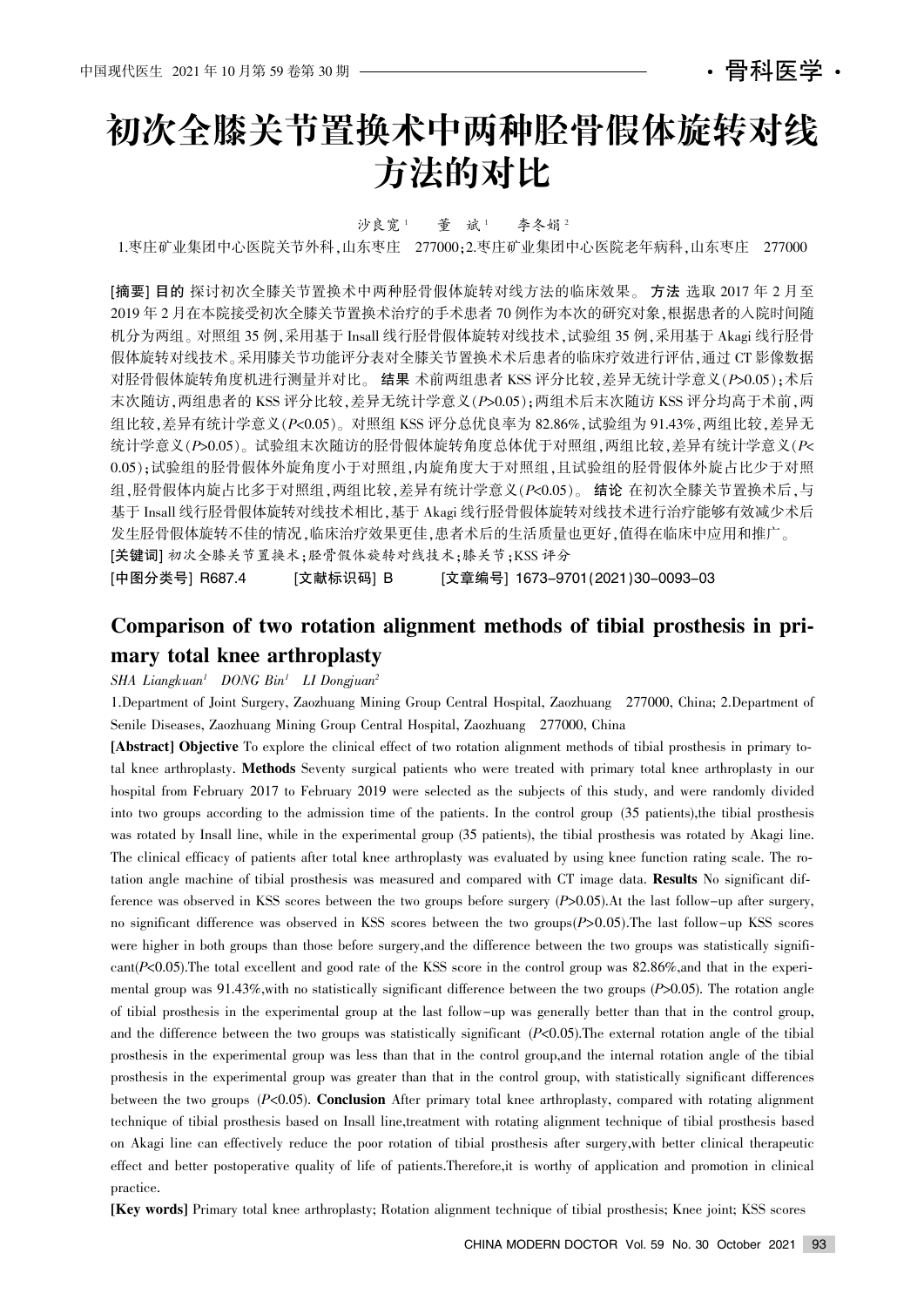# 初次全膝关节置换术中两种胫骨假体旋转对线 方法的对比

### 沙良宽1 董 斌1 李冬娟2

1.枣庄矿业集团中心医院关节外科,山东枣庄 277000;2.枣庄矿业集团中心医院老年病科,山东枣庄 277000

[摘要] 目的 探讨初次全膝关节置换术中两种胫骨假体旋转对线方法的临床效果。 方法 选取 2017 年 2 月至 2019 年 2 月在本院接受初次全膝关节置换术治疗的手术患者 70 例作为本次的研究对象, 根据患者的入院时间随 机分为两组。对照组 35 例,采用基于 Insall 线行胫骨假体旋转对线技术, 试验组 35 例,采用基于 Akagi 线行胫骨 假体旋转对线技术。采用膝关节功能评分表对全膝关节置换术术后患者的临床疗效进行评估,通过 CT 影像数据 对胫骨假体旋转角度机进行测量并对比。 结果 术前两组患者 KSS 评分比较,差异无统计学意义(P>0.05);术后 末次随访, 两组患者的 KSS 评分比较, 差异无统计学意义(P>0.05); 两组术后末次随访 KSS 评分均高于术前, 两 组比较,差异有统计学意义(P<0.05)。对照组 KSS 评分总优良率为 82.86%, 试验组为 91.43%, 两组比较, 差异无 统计学意义(P>0.05)。试验组末次随访的胫骨假体旋转角度总体优于对照组,两组比较,差异有统计学意义(P< 0.05);试验组的胫骨假体外旋角度小于对照组,内旋角度大于对照组,且试验组的胫骨假体外旋占比少于对照 组,胫骨假体内旋占比多于对照组,两组比较,差异有统计学意义(P<0.05)。 结论 在初次全膝关节置换术后,与 基于 Insall 线行胫骨假体旋转对线技术相比,基于 Akagi 线行胫骨假体旋转对线技术进行治疗能够有效减少术后 发生胫骨假体旋转不佳的情况,临床治疗效果更佳,患者术后的生活质量也更好,值得在临床中应用和推广。

[关键词] 初次全膝关节置换术:胫骨假体旋转对线技术:膝关节:KSS 评分

[中图分类号] R687.4 [文献标识码] B [文章编号] 1673-9701(2021)30-0093-03

# Comparison of two rotation alignment methods of tibial prosthesis in primary total knee arthroplasty

#### $SHA$  Liangkuan<sup>1</sup> DONG Bin<sup>1</sup> LI Dongjuan<sup>2</sup>

1.Department of Joint Surgery, Zaozhuang Mining Group Central Hospital, Zaozhuang 277000, China; 2.Department of Senile Diseases, Zaozhuang Mining Group Central Hospital, Zaozhuang 277000, China

[Abstract] Objective To explore the clinical effect of two rotation alignment methods of tibial prosthesis in primary total knee arthroplasty. Methods Seventy surgical patients who were treated with primary total knee arthroplasty in our hospital from February 2017 to February 2019 were selected as the subjects of this study, and were randomly divided into two groups according to the admission time of the patients. In the control group (35 patients),the tibial prosthesis was rotated by Insall line, while in the experimental group (35 patients), the tibial prosthesis was rotated by Akagi line. The clinical efficacy of patients after total knee arthroplasty was evaluated by using knee function rating scale. The rotation angle machine of tibial prosthesis was measured and compared with CT image data. Results No significant difference was observed in KSS scores between the two groups before surgery  $(P>0.05)$ .At the last follow-up after surgery, no significant difference was observed in KSS scores between the two groups $(P>0.05)$ . The last follow-up KSS scores were higher in both groups than those before surgery, and the difference between the two groups was statistically significant( $P<0.05$ ). The total excellent and good rate of the KSS score in the control group was 82.86%, and that in the experimental group was 91.43%, with no statistically significant difference between the two groups (P>0.05). The rotation angle of tibial prosthesis in the experimental group at the last follow-up was generally better than that in the control group, and the difference between the two groups was statistically significant  $(P<0.05)$ . The external rotation angle of the tibial prosthesis in the experimental group was less than that in the control group,and the internal rotation angle of the tibial prosthesis in the experimental group was greater than that in the control group, with statistically significant differences between the two groups (P<0.05). Conclusion After primary total knee arthroplasty, compared with rotating alignment technique of tibial prosthesis based on Insall line,treatment with rotating alignment technique of tibial prosthesis based on Akagi line can effectively reduce the poor rotation of tibial prosthesis after surgery,with better clinical therapeutic effect and better postoperative quality of life of patients.Therefore,it is worthy of application and promotion in clinical practice.

[Key words] Primary total knee arthroplasty; Rotation alignment technique of tibial prosthesis; Knee joint; KSS scores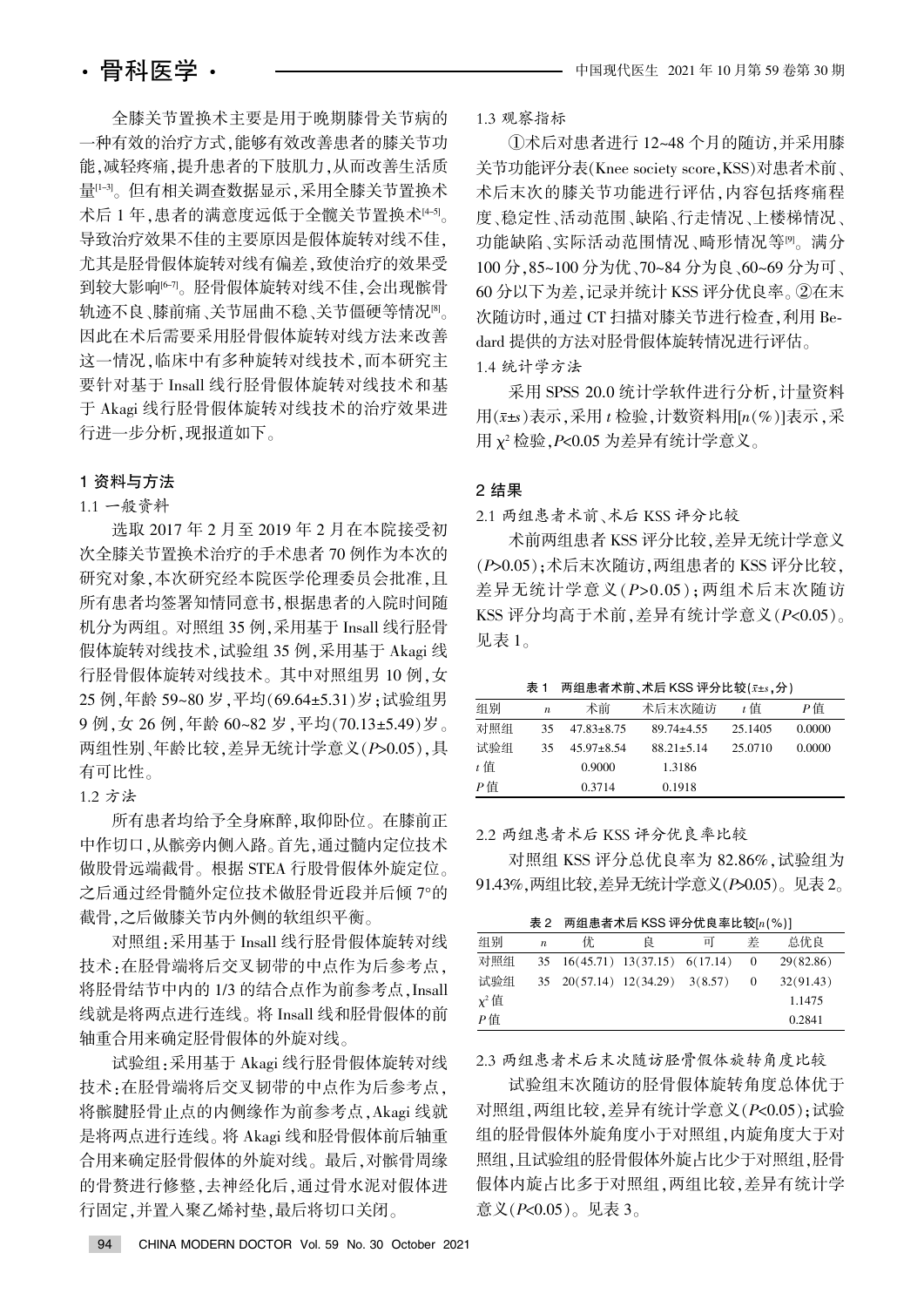全膝关节置换术主要是用于晚期膝骨关节病的 一种有效的治疗方式,能够有效改善患者的膝关节功 能,减轻疼痛,提升患者的下肢肌力,从而改善生活质 量[1-3]。但有相关调查数据显示,采用全膝关节置换术 术后 1 年, 患者的满意度远低于全髋关节置换术[4-5]。 导致治疗效果不佳的主要原因是假体旋转对线不佳。 尤其是胫骨假体旋转对线有偏差,致使治疗的效果受 到较大影响<sup>[6-7]</sup>。胫骨假体旋转对线不佳,会出现髌骨 轨迹不良、膝前痛、关节屈曲不稳、关节僵硬等情况<sup>图</sup>。 因此在术后需要采用胫骨假体旋转对线方法来改善 这一情况,临床中有多种旋转对线技术,而本研究主 要针对基于 Insall 线行胫骨假体旋转对线技术和基 于 Akagi 线行胫骨假体旋转对线技术的治疗效果进 行进一步分析,现报道如下。

#### 1 资料与方法

## 1.1 一般资料

选取 2017 年 2 月至 2019 年 2 月在本院接受初 次全膝关节置换术治疗的手术患者 70 例作为本次的 研究对象,本次研究经本院医学伦理委员会批准,且 所有患者均签署知情同意书,根据患者的入院时间随 机分为两组。对照组 35 例,采用基于 Insall 线行胫骨 假体旋转对线技术, 试验组 35 例, 采用基于 Akagi 线 行胫骨假体旋转对线技术。其中对照组男 10 例, 女 25 例,年龄 59~80 岁,平均(69.64±5.31)岁;试验组男 9 例, 女 26 例, 年龄 60~82 岁, 平均(70.13±5.49)岁。 两组性别、年龄比较,差异无统计学意义(P>0.05),具 有可比性。

1.2 方法

所有患者均给予全身麻醉,取仰卧位。在膝前正 中作切口,从髌旁内侧入路。首先,通过髓内定位技术 做股骨远端截骨。根据 STEA 行股骨假体外旋定位。 之后通过经骨髓外定位技术做胫骨近段并后倾 7°的 截骨,之后做膝关节内外侧的软组织平衡。

对照组:采用基于 Insall 线行胫骨假体旋转对线 技术:在胫骨端将后交叉韧带的中点作为后参考点。 将胫骨结节中内的 1/3 的结合点作为前参考点, Insall 线就是将两点进行连线。将 Insall 线和胫骨假体的前 轴重合用来确定胫骨假体的外旋对线。

试验组:采用基于 Akagi 线行胫骨假体旋转对线 技术:在胫骨端将后交叉韧带的中点作为后参考点。 将髌腱胫骨止点的内侧缘作为前参考点, Akagi 线就 是将两点进行连线。将 Akagi 线和胫骨假体前后轴重 合用来确定胫骨假体的外旋对线。最后,对髌骨周缘 的骨赘进行修整,去神经化后,通过骨水泥对假体进 行固定,并置入聚乙烯衬垫,最后将切口关闭。

1.3 观察指标

①术后对患者进行 12~48 个月的随访,并采用膝 关节功能评分表(Knee society score, KSS)对患者术前、 术后末次的膝关节功能进行评估,内容包括疼痛程 度、稳定性、活动范围、缺陷、行走情况、上楼梯情况、 功能缺陷、实际活动范围情况、畸形情况等<sup>p。</sup>满分 100 分, 85~100 分为优、70~84 分为良、60~69 分为可、 60 分以下为差, 记录并统计 KSS 评分优良率。②在末 次随访时, 通过 CT 扫描对膝关节进行检查, 利用 Bedard 提供的方法对胫骨假体旋转情况进行评估。 1.4 统计学方法

采用 SPSS 20.0 统计学软件进行分析, 计量资料 用 $(\bar{x} \pm s)$ 表示,采用  $t$  检验, 计数资料用 $[n(\%)]$ 表示, 采 用 $\chi^2$  检验, P<0.05 为差异有统计学意义。

#### 2 结果

2.1 两组患者术前、术后 KSS 评分比较

术前两组患者 KSS 评分比较, 差异无统计学意义 (P>0.05);术后末次随访,两组患者的 KSS 评分比较, 差异无统计学意义(P>0.05): 两组术后末次随访 KSS 评分均高于术前, 差异有统计学意义 $(P< 0.05)$ 。 见表 1。

表 1 两组患者术前、术后 KSS 评分比较 $(x \pm s, \Omega)$ 

| 组别  | $\boldsymbol{n}$ | 术前               | 术后末次随访           | t 值     | P值     |
|-----|------------------|------------------|------------------|---------|--------|
| 对照组 | 35               | $47.83 \pm 8.75$ | $89.74 + 4.55$   | 25.1405 | 0.0000 |
| 试验组 | 35               | $45.97 \pm 8.54$ | $88.21 \pm 5.14$ | 25.0710 | 0.0000 |
| t 值 |                  | 0.9000           | 1.3186           |         |        |
| Р值  |                  | 0.3714           | 0.1918           |         |        |

2.2 两组患者术后 KSS 评分优良率比较

对照组 KSS 评分总优良率为 82.86%, 试验组为 91.43%, 两组比较, 差异无统计学意义 (P>0.05)。见表 2。

表 2 两组患者术后 KSS 评分优良率比较 $[n(%)]$ 

| 组别         | $\boldsymbol{n}$ | 优                                         | 良 | 피 | 差 | 总优良       |
|------------|------------------|-------------------------------------------|---|---|---|-----------|
| 对照组        |                  | 35 16(45.71) 13(37.15) 6(17.14)           |   |   |   | 29(82.86) |
| 试验组        |                  | $35\quad 20(57.14)$ $12(34.29)$ $3(8.57)$ |   |   |   | 32(91.43) |
| $\chi^2$ 值 |                  |                                           |   |   |   | 1.1475    |
| P値         |                  |                                           |   |   |   | 0.2841    |

2.3 两组患者术后末次随访胫骨假体旋转角度比较

试验组末次随访的胫骨假体旋转角度总体优于 对照组,两组比较,差异有统计学意义(P<0.05);试验 组的胫骨假体外旋角度小于对照组,内旋角度大于对 照组,且试验组的胫骨假体外旋占比少于对照组,胫骨 假体内旋占比多于对照组,两组比较,差异有统计学 意义 $(P< 0.05)$ 。见表 3。